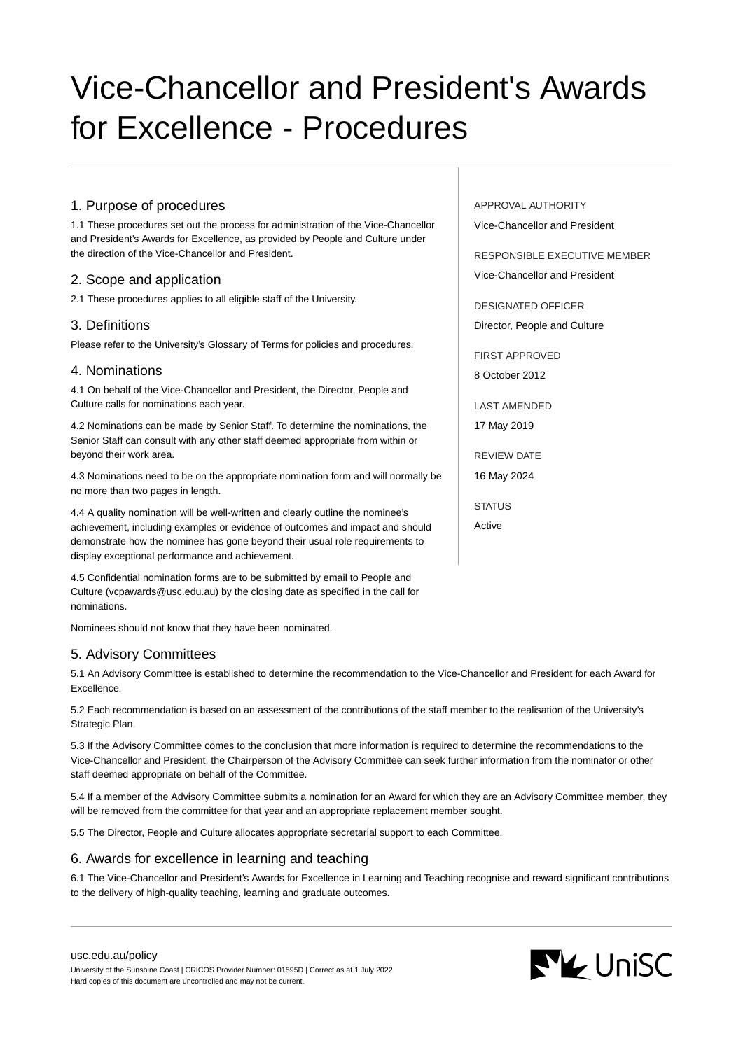# Vice-Chancellor and President's Awards for Excellence - Procedures

# 1. Purpose of procedures

1.1 These procedures set out the process for administration of the Vice-Chancellor and President's Awards for Excellence, as provided by People and Culture under the direction of the Vice-Chancellor and President.

# 2. Scope and application

2.1 These procedures applies to all eligible staff of the University.

## 3. Definitions

Please refer to the University's Glossary of Terms for policies and procedures.

## 4. Nominations

4.1 On behalf of the Vice-Chancellor and President, the Director, People and Culture calls for nominations each year.

4.2 Nominations can be made by Senior Staff. To determine the nominations, the Senior Staff can consult with any other staff deemed appropriate from within or beyond their work area.

4.3 Nominations need to be on the appropriate nomination form and will normally be no more than two pages in length.

4.4 A quality nomination will be well-written and clearly outline the nominee's achievement, including examples or evidence of outcomes and impact and should demonstrate how the nominee has gone beyond their usual role requirements to display exceptional performance and achievement.

4.5 Confidential nomination forms are to be submitted by email to People and Culture (vcpawards@usc.edu.au) by the closing date as specified in the call for nominations.

Nominees should not know that they have been nominated.

## 5. Advisory Committees

5.1 An Advisory Committee is established to determine the recommendation to the Vice-Chancellor and President for each Award for Excellence.

5.2 Each recommendation is based on an assessment of the contributions of the staff member to the realisation of the University's Strategic Plan.

5.3 If the Advisory Committee comes to the conclusion that more information is required to determine the recommendations to the Vice-Chancellor and President, the Chairperson of the Advisory Committee can seek further information from the nominator or other staff deemed appropriate on behalf of the Committee.

5.4 If a member of the Advisory Committee submits a nomination for an Award for which they are an Advisory Committee member, they will be removed from the committee for that year and an appropriate replacement member sought.

5.5 The Director, People and Culture allocates appropriate secretarial support to each Committee.

## 6. Awards for excellence in learning and teaching

6.1 The Vice-Chancellor and President's Awards for Excellence in Learning and Teaching recognise and reward significant contributions to the delivery of high-quality teaching, learning and graduate outcomes.

APPROVAL AUTHORITY Vice-Chancellor and President

RESPONSIBLE EXECUTIVE MEMBER Vice-Chancellor and President

DESIGNATED OFFICER Director, People and Culture

FIRST APPROVED 8 October 2012

LAST AMENDED 17 May 2019

REVIEW DATE 16 May 2024

STATUS

Active

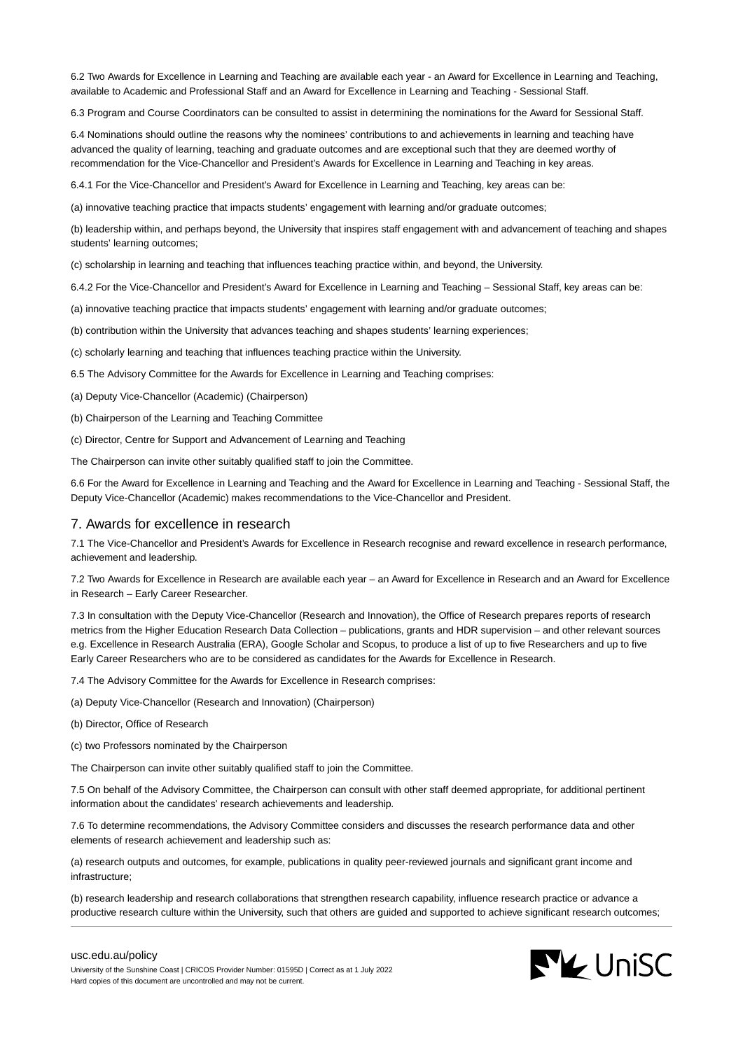6.2 Two Awards for Excellence in Learning and Teaching are available each year - an Award for Excellence in Learning and Teaching, available to Academic and Professional Staff and an Award for Excellence in Learning and Teaching - Sessional Staff.

6.3 Program and Course Coordinators can be consulted to assist in determining the nominations for the Award for Sessional Staff.

6.4 Nominations should outline the reasons why the nominees' contributions to and achievements in learning and teaching have advanced the quality of learning, teaching and graduate outcomes and are exceptional such that they are deemed worthy of recommendation for the Vice-Chancellor and President's Awards for Excellence in Learning and Teaching in key areas.

6.4.1 For the Vice-Chancellor and President's Award for Excellence in Learning and Teaching, key areas can be:

(a) innovative teaching practice that impacts students' engagement with learning and/or graduate outcomes;

(b) leadership within, and perhaps beyond, the University that inspires staff engagement with and advancement of teaching and shapes students' learning outcomes;

(c) scholarship in learning and teaching that influences teaching practice within, and beyond, the University.

6.4.2 For the Vice-Chancellor and President's Award for Excellence in Learning and Teaching – Sessional Staff, key areas can be:

(a) innovative teaching practice that impacts students' engagement with learning and/or graduate outcomes;

(b) contribution within the University that advances teaching and shapes students' learning experiences;

(c) scholarly learning and teaching that influences teaching practice within the University.

6.5 The Advisory Committee for the Awards for Excellence in Learning and Teaching comprises:

(a) Deputy Vice-Chancellor (Academic) (Chairperson)

(b) Chairperson of the Learning and Teaching Committee

(c) Director, Centre for Support and Advancement of Learning and Teaching

The Chairperson can invite other suitably qualified staff to join the Committee.

6.6 For the Award for Excellence in Learning and Teaching and the Award for Excellence in Learning and Teaching - Sessional Staff, the Deputy Vice-Chancellor (Academic) makes recommendations to the Vice-Chancellor and President.

## 7. Awards for excellence in research

7.1 The Vice-Chancellor and President's Awards for Excellence in Research recognise and reward excellence in research performance, achievement and leadership.

7.2 Two Awards for Excellence in Research are available each year – an Award for Excellence in Research and an Award for Excellence in Research – Early Career Researcher.

7.3 In consultation with the Deputy Vice-Chancellor (Research and Innovation), the Office of Research prepares reports of research metrics from the Higher Education Research Data Collection – publications, grants and HDR supervision – and other relevant sources e.g. Excellence in Research Australia (ERA), Google Scholar and Scopus, to produce a list of up to five Researchers and up to five Early Career Researchers who are to be considered as candidates for the Awards for Excellence in Research.

7.4 The Advisory Committee for the Awards for Excellence in Research comprises:

(a) Deputy Vice-Chancellor (Research and Innovation) (Chairperson)

(b) Director, Office of Research

(c) two Professors nominated by the Chairperson

The Chairperson can invite other suitably qualified staff to join the Committee.

7.5 On behalf of the Advisory Committee, the Chairperson can consult with other staff deemed appropriate, for additional pertinent information about the candidates' research achievements and leadership.

7.6 To determine recommendations, the Advisory Committee considers and discusses the research performance data and other elements of research achievement and leadership such as:

(a) research outputs and outcomes, for example, publications in quality peer-reviewed journals and significant grant income and infrastructure;

(b) research leadership and research collaborations that strengthen research capability, influence research practice or advance a productive research culture within the University, such that others are guided and supported to achieve significant research outcomes;

#### [usc.edu.au/policy](https://www.usc.edu.au/policy)

University of the Sunshine Coast | CRICOS Provider Number: 01595D | Correct as at 1 July 2022 Hard copies of this document are uncontrolled and may not be current.

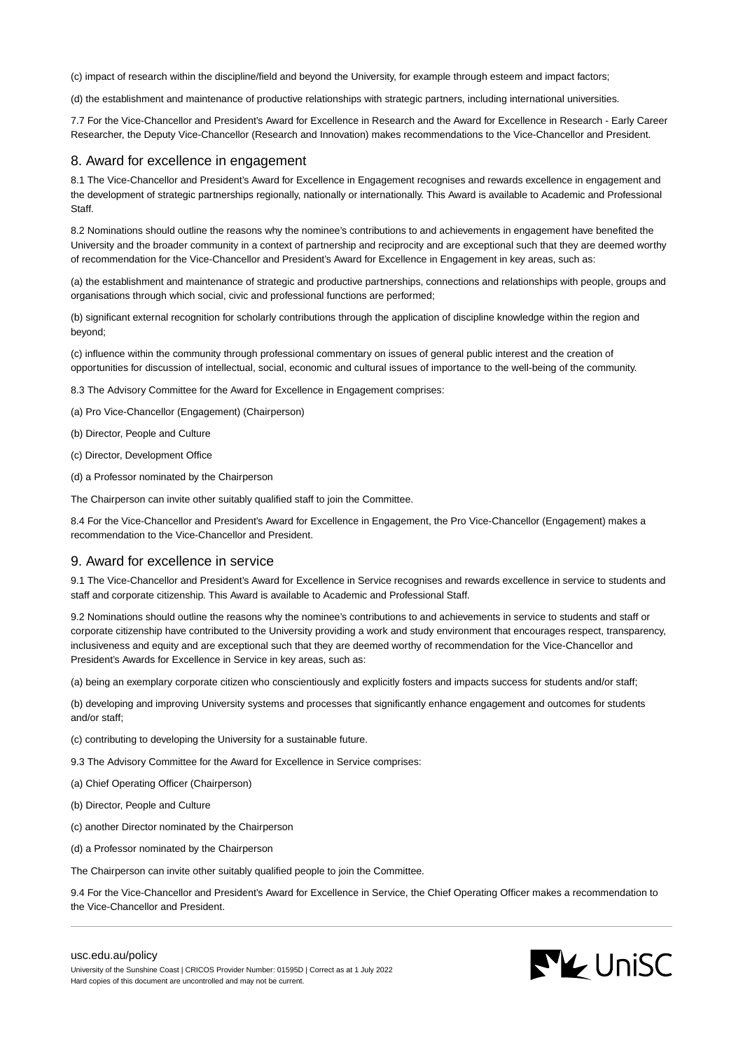(c) impact of research within the discipline/field and beyond the University, for example through esteem and impact factors;

(d) the establishment and maintenance of productive relationships with strategic partners, including international universities.

7.7 For the Vice-Chancellor and President's Award for Excellence in Research and the Award for Excellence in Research - Early Career Researcher, the Deputy Vice-Chancellor (Research and Innovation) makes recommendations to the Vice-Chancellor and President.

## 8. Award for excellence in engagement

8.1 The Vice-Chancellor and President's Award for Excellence in Engagement recognises and rewards excellence in engagement and the development of strategic partnerships regionally, nationally or internationally. This Award is available to Academic and Professional **Staff.** 

8.2 Nominations should outline the reasons why the nominee's contributions to and achievements in engagement have benefited the University and the broader community in a context of partnership and reciprocity and are exceptional such that they are deemed worthy of recommendation for the Vice-Chancellor and President's Award for Excellence in Engagement in key areas, such as:

(a) the establishment and maintenance of strategic and productive partnerships, connections and relationships with people, groups and organisations through which social, civic and professional functions are performed;

(b) significant external recognition for scholarly contributions through the application of discipline knowledge within the region and beyond;

(c) influence within the community through professional commentary on issues of general public interest and the creation of opportunities for discussion of intellectual, social, economic and cultural issues of importance to the well-being of the community.

- 8.3 The Advisory Committee for the Award for Excellence in Engagement comprises:
- (a) Pro Vice-Chancellor (Engagement) (Chairperson)
- (b) Director, People and Culture
- (c) Director, Development Office
- (d) a Professor nominated by the Chairperson

The Chairperson can invite other suitably qualified staff to join the Committee.

8.4 For the Vice-Chancellor and President's Award for Excellence in Engagement, the Pro Vice-Chancellor (Engagement) makes a recommendation to the Vice-Chancellor and President.

## 9. Award for excellence in service

9.1 The Vice-Chancellor and President's Award for Excellence in Service recognises and rewards excellence in service to students and staff and corporate citizenship. This Award is available to Academic and Professional Staff.

9.2 Nominations should outline the reasons why the nominee's contributions to and achievements in service to students and staff or corporate citizenship have contributed to the University providing a work and study environment that encourages respect, transparency, inclusiveness and equity and are exceptional such that they are deemed worthy of recommendation for the Vice-Chancellor and President's Awards for Excellence in Service in key areas, such as:

(a) being an exemplary corporate citizen who conscientiously and explicitly fosters and impacts success for students and/or staff;

(b) developing and improving University systems and processes that significantly enhance engagement and outcomes for students and/or staff;

- (c) contributing to developing the University for a sustainable future.
- 9.3 The Advisory Committee for the Award for Excellence in Service comprises:
- (a) Chief Operating Officer (Chairperson)
- (b) Director, People and Culture
- (c) another Director nominated by the Chairperson
- (d) a Professor nominated by the Chairperson

The Chairperson can invite other suitably qualified people to join the Committee.

9.4 For the Vice-Chancellor and President's Award for Excellence in Service, the Chief Operating Officer makes a recommendation to the Vice-Chancellor and President.

#### [usc.edu.au/policy](https://www.usc.edu.au/policy)

University of the Sunshine Coast | CRICOS Provider Number: 01595D | Correct as at 1 July 2022 Hard copies of this document are uncontrolled and may not be current.